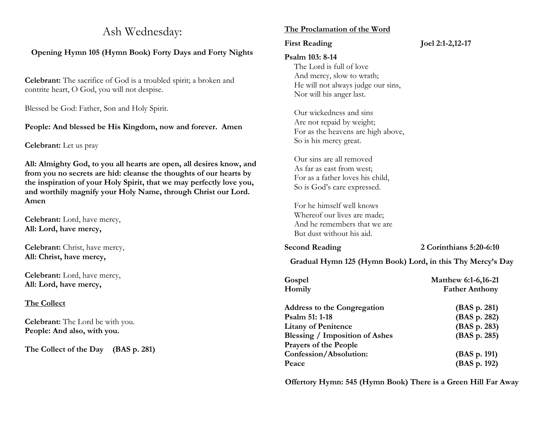# Ash Wednesday:

# **Opening Hymn 105 (Hymn Book) Forty Days and Forty Nights**

**Celebrant:** The sacrifice of God is a troubled spirit; a broken and contrite heart, O God, you will not despise.

Blessed be God: Father, Son and Holy Spirit.

# **People: And blessed be His Kingdom, now and forever. Amen**

**Celebrant:** Let us pray

**All: Almighty God, to you all hearts are open, all desires know, and from you no secrets are hid: cleanse the thoughts of our hearts by the inspiration of your Holy Spirit, that we may perfectly love you, and worthily magnify your Holy Name, through Christ our Lord. Amen**

**Celebrant:** Lord, have mercy, **All: Lord, have mercy,**

**Celebrant:** Christ, have mercy, **All: Christ, have mercy,**

**Celebrant:** Lord, have mercy, **All: Lord, have mercy,**

# **The Collect**

**Celebrant:** The Lord be with you. **People: And also, with you.**

**The Collect of the Day (BAS p. 281)**

# **The Proclamation of the Word**

# **First Reading Joel 2:1-2,12-17**

### **Psalm 103: 8-14**

The Lord is full of love And mercy, slow to wrath; He will not always judge our sins, Nor will his anger last.

Our wickedness and sins Are not repaid by weight; For as the heavens are high above, So is his mercy great.

Our sins are all removed As far as east from west; For as a father loves his child, So is God's care expressed.

For he himself well knows Whereof our lives are made; And he remembers that we are But dust without his aid.

**Second Reading 2 Corinthians 5:20-6:10**

**Gradual Hymn 125 (Hymn Book) Lord, in this Thy Mercy's Day**

| Gospel                                | <b>Matthew 6:1-6,16-21</b> |
|---------------------------------------|----------------------------|
| Homily                                | <b>Father Anthony</b>      |
| <b>Address to the Congregation</b>    | (BAS p. 281)               |
| Psalm 51: 1-18                        | (BAS p. 282)               |
| <b>Litany of Penitence</b>            | (BAS p. 283)               |
| <b>Blessing / Imposition of Ashes</b> | (BAS p. 285)               |
| <b>Prayers of the People</b>          |                            |
| Confession/Absolution:                | (BAS p. 191)               |
| Peace                                 | (BAS p. 192)               |

**Offertory Hymn: 545 (Hymn Book) There is a Green Hill Far Away**